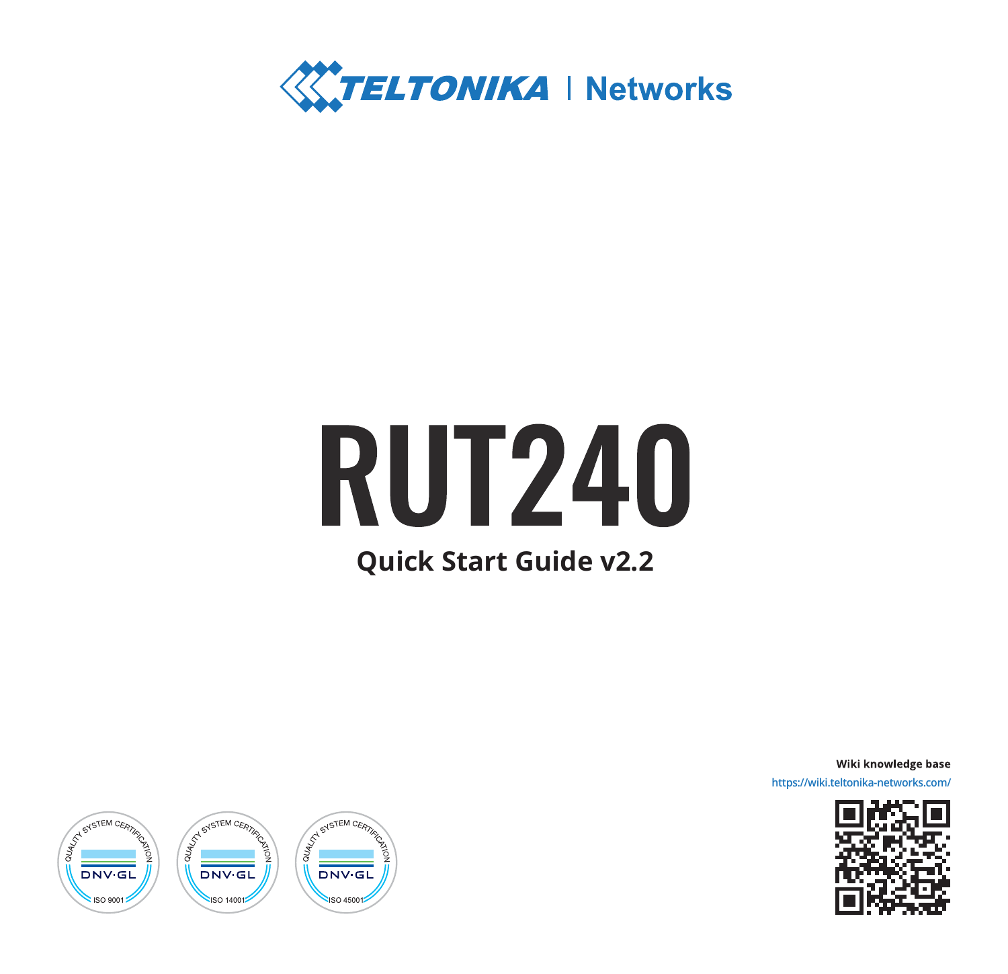

# **RUT240**

# **Quick Start Guide v2.2**

Wiki knowledge base

**https://wiki.teltonika-networks.com/**



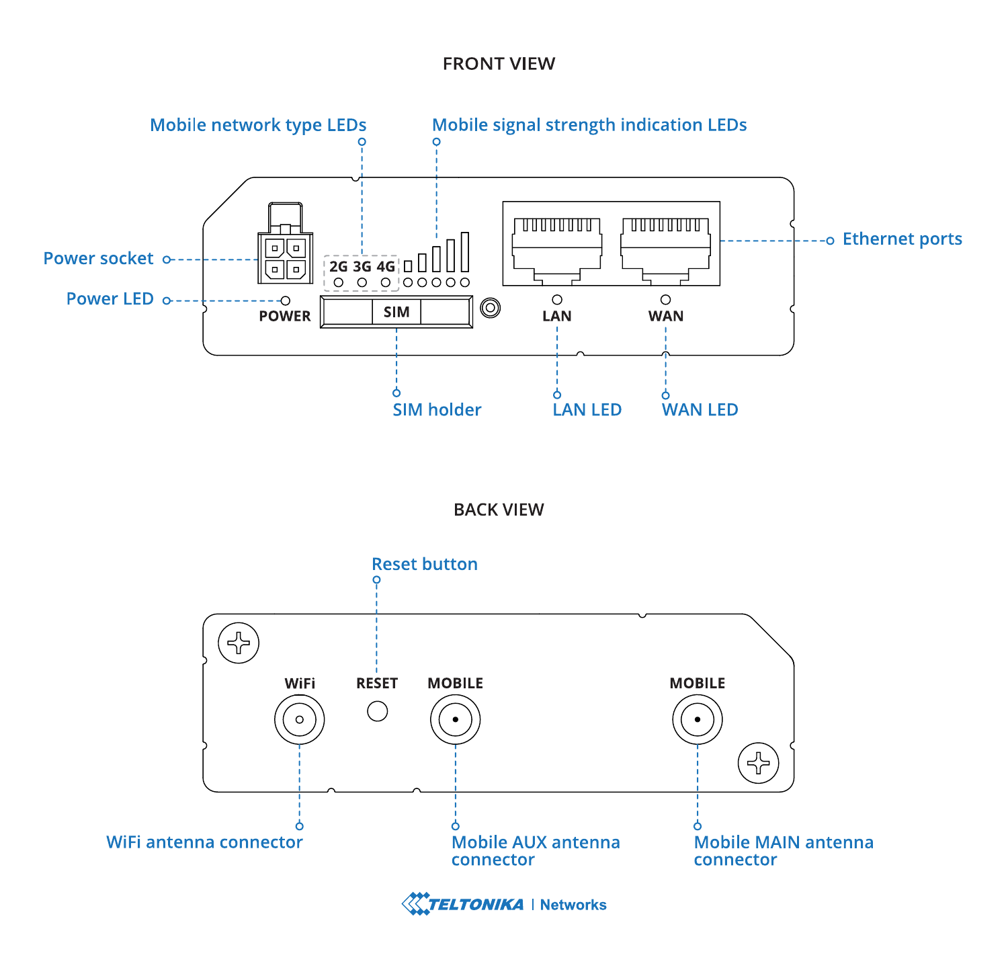## **FRONT VIEW**



## **BACK VIEW**



**TELTONIKA** | Networks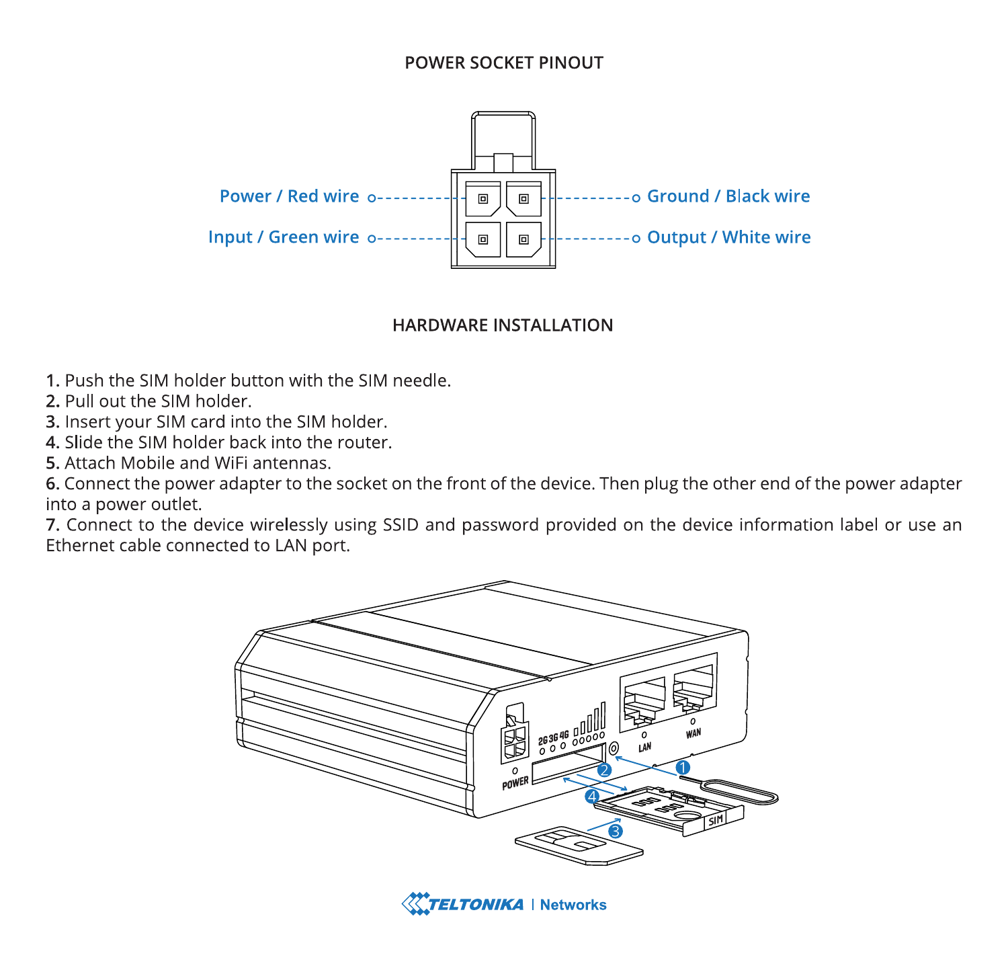#### POWER SOCKET PINOUT



#### **HARDWARE INSTALLATION**

- 1. Push the SIM holder button with the SIM needle.
- 2. Pull out the SIM holder.
- 3. Insert your SIM card into the SIM holder.
- 4 Slide the SIM holder hack into the router
- 5. Attach Mobile and WiFi antennas.

6. Connect the power adapter to the socket on the front of the device. Then plug the other end of the power adapter into a power outlet.

7. Connect to the device wirelessly using SSID and password provided on the device information label or use an Ethernet cable connected to LAN port.



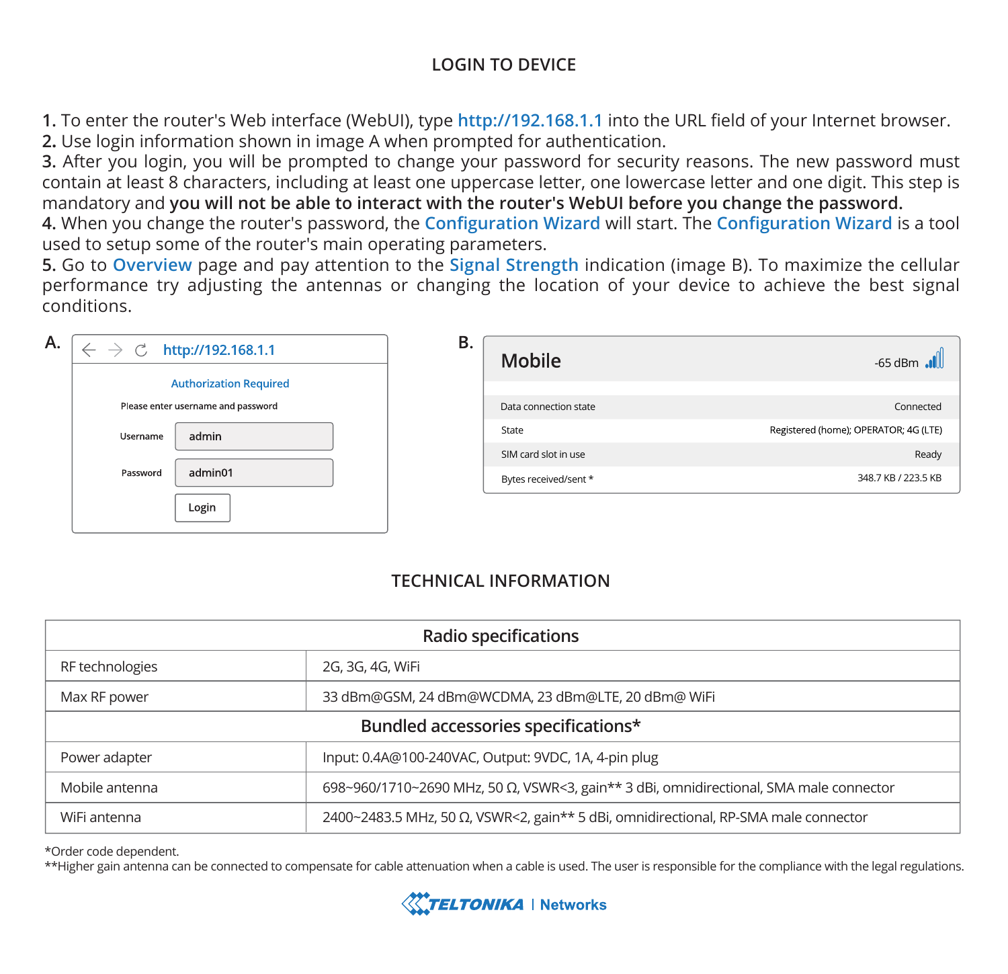# **LOGIN TO DEVICE**

**1.** To enter the router's Web interface (WebUI), type **http://192.168.1.1** into the URL field of your Internet browser. **2.** Use login information shown in image A when prompted for authentication.

**3.** After you login, you will be prompted to change your password for security reasons. The new password must contain at least 8 characters, including at least one uppercase letter, one lowercase letter and one digit. This step is mandatory and **you will not be able to interact with the router's WebUI before you change the password.**

**4.** When you change the router's password, the **Configuration Wizard** will start. The **Configuration Wizard** is a tool used to setup some of the router's main operating parameters.

**5.** Go to **Overview** page and pay attention to the **Signal Strength** indication (image B). To maximize the cellular performance try adjusting the antennas or changing the location of your device to achieve the best signal conditions.

| Please enter username and password<br>admin<br>Username<br>admin01<br>Password | <b>Authorization Required</b> |
|--------------------------------------------------------------------------------|-------------------------------|
|                                                                                |                               |
|                                                                                |                               |
|                                                                                |                               |

| в. | Mobile                | $-65$ dBm $\blacksquare$              |
|----|-----------------------|---------------------------------------|
|    |                       |                                       |
|    | Data connection state | Connected                             |
|    | State                 | Registered (home); OPERATOR: 4G (LTE) |
|    | SIM card slot in use  | Ready                                 |
|    | Bytes received/sent * | 348.7 KB / 223.5 KB                   |
|    |                       |                                       |

# **TECHNICAL INFORMATION**

| Radio specifications                |                                                                                        |  |  |
|-------------------------------------|----------------------------------------------------------------------------------------|--|--|
| RF technologies                     | 2G, 3G, 4G, WiFi                                                                       |  |  |
| Max RF power                        | 33 dBm@GSM, 24 dBm@WCDMA, 23 dBm@LTE, 20 dBm@ WiFi                                     |  |  |
| Bundled accessories specifications* |                                                                                        |  |  |
| Power adapter                       | Input: 0.4A@100-240VAC, Output: 9VDC, 1A, 4-pin plug                                   |  |  |
| Mobile antenna                      | 698~960/1710~2690 MHz, 50 Ω, VSWR<3, gain** 3 dBi, omnidirectional, SMA male connector |  |  |
| WiFi antenna                        | 2400~2483.5 MHz, 50 Ω, VSWR<2, gain** 5 dBi, omnidirectional, RP-SMA male connector    |  |  |

\*Order code dependent.

\*\*Higher gain antenna can be connected to compensate for cable attenuation when a cable is used. The user is responsible for the compliance with the legal regulations.

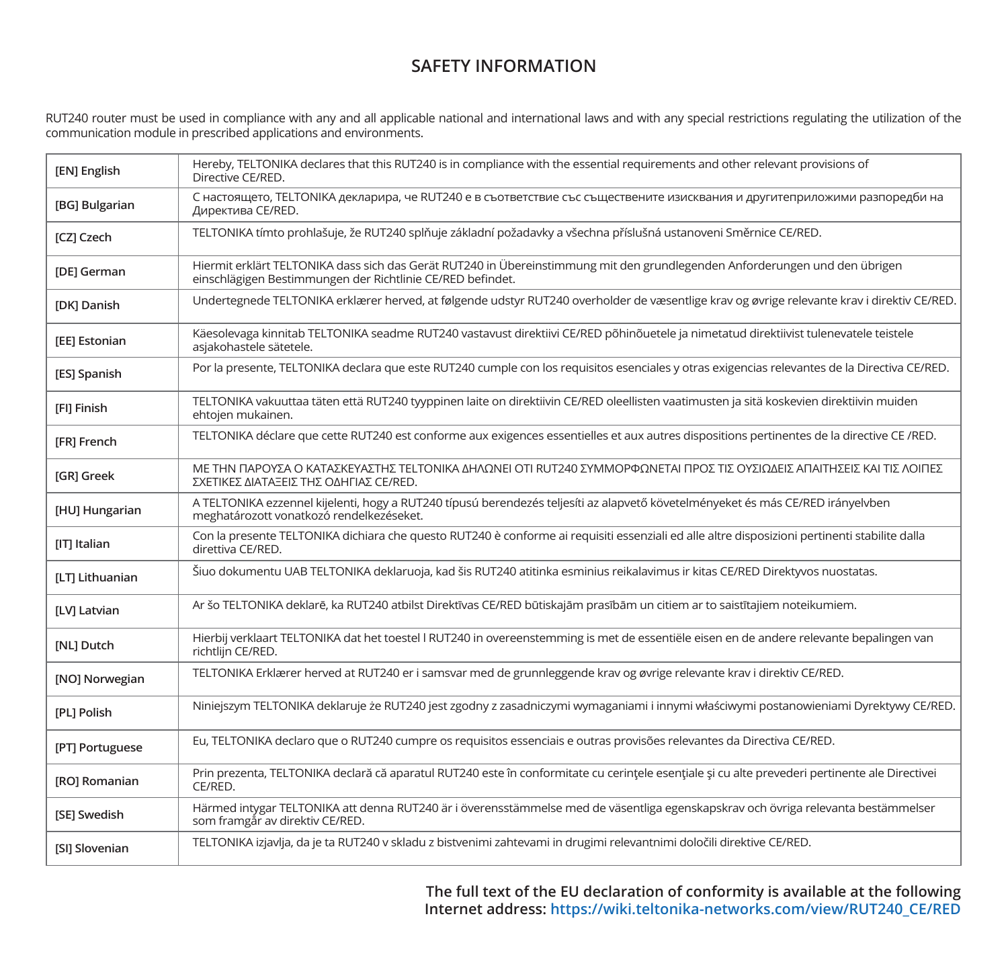# **SAFETY INFORMATION**

RUT240 router must be used in compliance with any and all applicable national and international laws and with any special restrictions regulating the utilization of the<br>communication module in prescribed applications and e

| [EN] English    | Hereby, TELTONIKA declares that this RUT240 is in compliance with the essential requirements and other relevant provisions of<br>Directive CE/RED.                                        |
|-----------------|-------------------------------------------------------------------------------------------------------------------------------------------------------------------------------------------|
| [BG] Bulgarian  | С настоящето, TELTONIKA декларира, че RUT240 е в съответствие със съществените изисквания и другитеприложими разпоредби на<br>Директива CE/RED.                                           |
| [CZ] Czech      | TELTONIKA tímto prohlašuje, že RUT240 splňuje základní požadavky a všechna příslušná ustanoveni Směrnice CE/RED.                                                                          |
| [DE] German     | Hiermit erklärt TELTONIKA dass sich das Gerät RUT240 in Übereinstimmung mit den grundlegenden Anforderungen und den übrigen<br>einschlägigen Bestimmungen der Richtlinie CE/RED befindet. |
| [DK] Danish     | Undertegnede TELTONIKA erklærer herved, at følgende udstyr RUT240 overholder de væsentlige krav og øvrige relevante krav i direktiv CE/RED.                                               |
| [EE] Estonian   | Käesolevaga kinnitab TELTONIKA seadme RUT240 vastavust direktiivi CE/RED põhinõuetele ja nimetatud direktiivist tulenevatele teistele<br>asiakohastele sätetele.                          |
| [ES] Spanish    | Por la presente, TELTONIKA declara que este RUT240 cumple con los requisitos esenciales y otras exigencias relevantes de la Directiva CE/RED.                                             |
| [FI] Finish     | TELTONIKA vakuuttaa täten että RUT240 tyyppinen laite on direktiivin CE/RED oleellisten vaatimusten ja sitä koskevien direktiivin muiden<br>ehtojen mukainen.                             |
| [FR] French     | TELTONIKA déclare que cette RUT240 est conforme aux exigences essentielles et aux autres dispositions pertinentes de la directive CE /RED.                                                |
| [GR] Greek      | ΜΕ ΤΗΝ ΠΑΡΟΥΣΑ Ο ΚΑΤΑΣΚΕΥΑΣΤΗΣ ΤΕLΤΟΝΙΚΑ ΔΗΛΩΝΕΙ ΟΤΙ RUT240 ΣΥΜΜΟΡΦΩΝΕΤΑΙ ΠΡΟΣ ΤΙΣ ΟΥΣΙΩΔΕΙΣ ΑΠΑΙΤΗΣΕΙΣ ΚΑΙ ΤΙΣ ΛΟΙΠΕΣ<br>ΣΧΕΤΙΚΕΣ ΔΙΑΤΑΞΕΙΣ ΤΗΣ ΟΔΗΓΙΑΣ CE/RED.                          |
| [HU] Hungarian  | A TELTONIKA ezzennel kijelenti, hogy a RUT240 típusú berendezés teljesíti az alapvető követelményeket és más CE/RED irányelvben<br>meghatározott vonatkozó rendelkezéseket.               |
| [IT] Italian    | Con la presente TELTONIKA dichiara che questo RUT240 è conforme ai requisiti essenziali ed alle altre disposizioni pertinenti stabilite dalla<br>direttiva CE/RED.                        |
| [LT] Lithuanian | Šiuo dokumentu UAB TELTONIKA deklaruoja, kad šis RUT240 atitinka esminius reikalavimus ir kitas CE/RED Direktyvos nuostatas.                                                              |
| [LV] Latvian    | Ar šo TELTONIKA deklarē, ka RUT240 atbilst Direktīvas CE/RED būtiskajām prasībām un citiem ar to saistītajiem noteikumiem.                                                                |
| [NL] Dutch      | Hierbij verklaart TELTONIKA dat het toestel I RUT240 in overeenstemming is met de essentiële eisen en de andere relevante bepalingen van<br>richtlijn CE/RED.                             |
| [NO] Norwegian  | TELTONIKA Erklærer herved at RUT240 er i samsvar med de grunnleggende krav og øvrige relevante krav i direktiv CE/RED.                                                                    |
| [PL] Polish     | Niniejszym TELTONIKA deklaruje że RUT240 jest zgodny z zasadniczymi wymaganiami i innymi właściwymi postanowieniami Dyrektywy CE/RED.                                                     |
| [PT] Portuguese | Eu, TELTONIKA declaro que o RUT240 cumpre os requisitos essenciais e outras provisões relevantes da Directiva CE/RED.                                                                     |
| [RO] Romanian   | Prin prezenta, TELTONIKA declară că aparatul RUT240 este în conformitate cu cerințele esențiale și cu alte prevederi pertinente ale Directivei<br>CE/RED.                                 |
| [SE] Swedish    | Härmed intygar TELTONIKA att denna RUT240 är i överensstämmelse med de väsentliga egenskapskrav och övriga relevanta bestämmelser<br>som framgår av direktiv CE/RED.                      |
| [SI] Slovenian  | TELTONIKA izjavlja, da je ta RUT240 v skladu z bistvenimi zahtevami in drugimi relevantnimi določili direktive CE/RED.                                                                    |

**The full text of the EU declaration of conformity is available at the following Internet address: https://wiki.teltonika-networks.com/view/RUT240\_CE/RED**